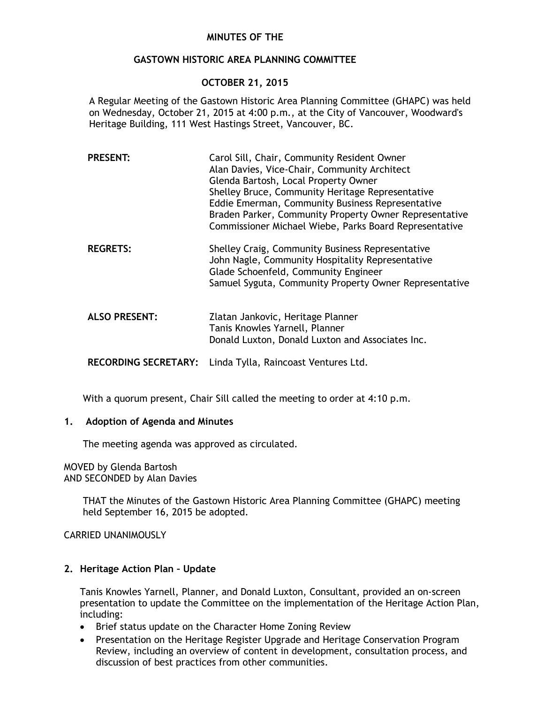# **MINUTES OF THE**

# **GASTOWN HISTORIC AREA PLANNING COMMITTEE**

# **OCTOBER 21, 2015**

A Regular Meeting of the Gastown Historic Area Planning Committee (GHAPC) was held on Wednesday, October 21, 2015 at 4:00 p.m., at the City of Vancouver, Woodward's Heritage Building, 111 West Hastings Street, Vancouver, BC.

| <b>PRESENT:</b>      | Carol Sill, Chair, Community Resident Owner<br>Alan Davies, Vice-Chair, Community Architect<br>Glenda Bartosh, Local Property Owner<br>Shelley Bruce, Community Heritage Representative<br>Eddie Emerman, Community Business Representative<br>Braden Parker, Community Property Owner Representative<br>Commissioner Michael Wiebe, Parks Board Representative |
|----------------------|-----------------------------------------------------------------------------------------------------------------------------------------------------------------------------------------------------------------------------------------------------------------------------------------------------------------------------------------------------------------|
| <b>REGRETS:</b>      | Shelley Craig, Community Business Representative<br>John Nagle, Community Hospitality Representative<br>Glade Schoenfeld, Community Engineer<br>Samuel Syguta, Community Property Owner Representative                                                                                                                                                          |
| <b>ALSO PRESENT:</b> | Zlatan Jankovic, Heritage Planner<br>Tanis Knowles Yarnell, Planner<br>Donald Luxton, Donald Luxton and Associates Inc.                                                                                                                                                                                                                                         |

**RECORDING SECRETARY:** Linda Tylla, Raincoast Ventures Ltd.

With a quorum present, Chair Sill called the meeting to order at 4:10 p.m.

# **1. Adoption of Agenda and Minutes**

The meeting agenda was approved as circulated.

MOVED by Glenda Bartosh AND SECONDED by Alan Davies

> THAT the Minutes of the Gastown Historic Area Planning Committee (GHAPC) meeting held September 16, 2015 be adopted.

CARRIED UNANIMOUSLY

#### **2. Heritage Action Plan – Update**

Tanis Knowles Yarnell, Planner, and Donald Luxton, Consultant, provided an on-screen presentation to update the Committee on the implementation of the Heritage Action Plan, including:

- Brief status update on the Character Home Zoning Review
- Presentation on the Heritage Register Upgrade and Heritage Conservation Program Review, including an overview of content in development, consultation process, and discussion of best practices from other communities.